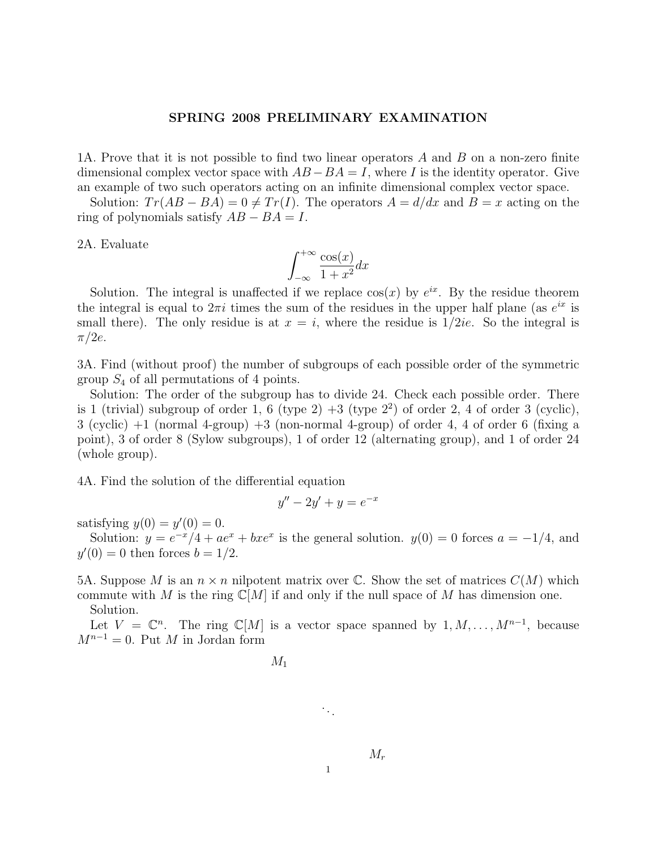## SPRING 2008 PRELIMINARY EXAMINATION

1A. Prove that it is not possible to find two linear operators A and B on a non-zero finite dimensional complex vector space with  $AB - BA = I$ , where I is the identity operator. Give an example of two such operators acting on an infinite dimensional complex vector space.

Solution:  $Tr(AB - BA) = 0 \neq Tr(I)$ . The operators  $A = d/dx$  and  $B = x$  acting on the ring of polynomials satisfy  $AB - BA = I$ .

2A. Evaluate

$$
\int_{-\infty}^{+\infty} \frac{\cos(x)}{1+x^2} dx
$$

Solution. The integral is unaffected if we replace  $cos(x)$  by  $e^{ix}$ . By the residue theorem the integral is equal to  $2\pi i$  times the sum of the residues in the upper half plane (as  $e^{ix}$  is small there). The only residue is at  $x = i$ , where the residue is  $1/2ie$ . So the integral is  $\pi/2e$ .

3A. Find (without proof) the number of subgroups of each possible order of the symmetric group  $S_4$  of all permutations of 4 points.

Solution: The order of the subgroup has to divide 24. Check each possible order. There is 1 (trivial) subgroup of order 1, 6 (type  $2) + 3$  (type  $2<sup>2</sup>$ ) of order 2, 4 of order 3 (cyclic),  $3$  (cyclic)  $+1$  (normal 4-group)  $+3$  (non-normal 4-group) of order 4, 4 of order 6 (fixing a point), 3 of order 8 (Sylow subgroups), 1 of order 12 (alternating group), and 1 of order 24 (whole group).

4A. Find the solution of the differential equation

$$
y'' - 2y' + y = e^{-x}
$$

satisfying  $y(0) = y'(0) = 0$ .

Solution:  $y = e^{-x}/4 + ae^{x} + bxe^{x}$  is the general solution.  $y(0) = 0$  forces  $a = -1/4$ , and  $y'(0) = 0$  then forces  $b = 1/2$ .

5A. Suppose M is an  $n \times n$  nilpotent matrix over C. Show the set of matrices  $C(M)$  which commute with M is the ring  $\mathbb{C}[M]$  if and only if the null space of M has dimension one. Solution.

Let  $V = \mathbb{C}^n$ . The ring  $\mathbb{C}[M]$  is a vector space spanned by  $1, M, \ldots, M^{n-1}$ , because  $M^{n-1} = 0$ . Put M in Jordan form

$$
M_1^-
$$

. . .

1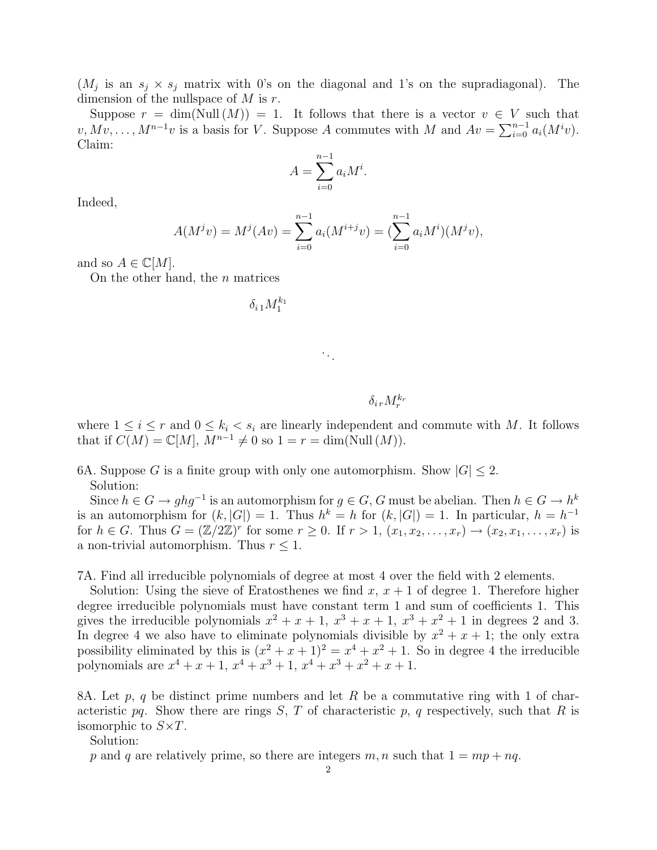$(M_j$  is an  $s_j \times s_j$  matrix with 0's on the diagonal and 1's on the supradiagonal). The dimension of the nullspace of  $M$  is  $r$ .

Suppose  $r = \dim(Null(M)) = 1$ . It follows that there is a vector  $v \in V$  such that  $v, Mv, \ldots, M^{n-1}v$  is a basis for V. Suppose A commutes with M and  $Av = \sum_{i=0}^{n-1} a_i(M^i v)$ . Claim:

$$
A = \sum_{i=0}^{n-1} a_i M^i.
$$

Indeed,

$$
A(M^{j}v) = M^{j}(Av) = \sum_{i=0}^{n-1} a_{i}(M^{i+j}v) = (\sum_{i=0}^{n-1} a_{i}M^{i})(M^{j}v),
$$

and so  $A \in \mathbb{C}[M]$ .

On the other hand, the  $n$  matrices

 $\delta_{i\,1} M_1^{k_1}$ 

## $\delta_{i\,r} M^{k_r}_r$

where  $1 \leq i \leq r$  and  $0 \leq k_i \leq s_i$  are linearly independent and commute with M. It follows that if  $C(M) = \mathbb{C}[M], M^{n-1} \neq 0$  so  $1 = r = \dim(\text{Null}(M)).$ 

6A. Suppose G is a finite group with only one automorphism. Show  $|G| \leq 2$ . Solution:

Since  $h \in G \to ghg^{-1}$  is an automorphism for  $g \in G$ , G must be abelian. Then  $h \in G \to h^k$ is an automorphism for  $(k, |G|) = 1$ . Thus  $h^k = h$  for  $(k, |G|) = 1$ . In particular,  $h = h^{-1}$ for  $h \in G$ . Thus  $G = (\mathbb{Z}/2\mathbb{Z})^r$  for some  $r \geq 0$ . If  $r > 1$ ,  $(x_1, x_2, \ldots, x_r) \rightarrow (x_2, x_1, \ldots, x_r)$  is a non-trivial automorphism. Thus  $r \leq 1$ .

7A. Find all irreducible polynomials of degree at most 4 over the field with 2 elements.

Solution: Using the sieve of Eratosthenes we find  $x, x + 1$  of degree 1. Therefore higher degree irreducible polynomials must have constant term 1 and sum of coefficients 1. This gives the irreducible polynomials  $x^2 + x + 1$ ,  $x^3 + x + 1$ ,  $x^3 + x^2 + 1$  in degrees 2 and 3. In degree 4 we also have to eliminate polynomials divisible by  $x^2 + x + 1$ ; the only extra possibility eliminated by this is  $(x^2 + x + 1)^2 = x^4 + x^2 + 1$ . So in degree 4 the irreducible polynomials are  $x^4 + x + 1$ ,  $x^4 + x^3 + 1$ ,  $x^4 + x^3 + x^2 + x + 1$ .

8A. Let p, q be distinct prime numbers and let R be a commutative ring with 1 of characteristic pq. Show there are rings  $S, T$  of characteristic p, q respectively, such that R is isomorphic to  $S \times T$ .

Solution:

p and q are relatively prime, so there are integers m, n such that  $1 = mp + nq$ .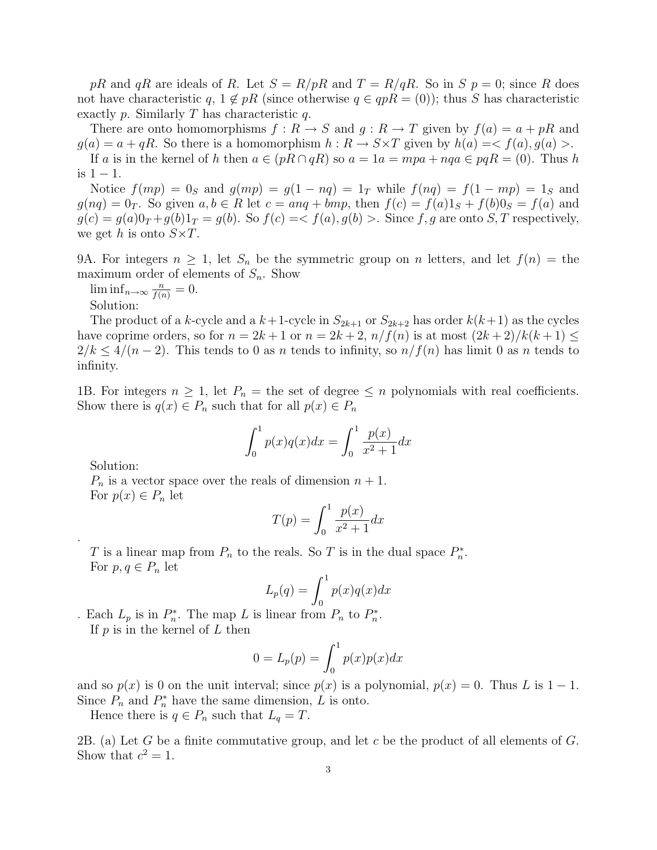pR and qR are ideals of R. Let  $S = R/pR$  and  $T = R/qR$ . So in  $S$   $p = 0$ ; since R does not have characteristic q,  $1 \notin pR$  (since otherwise  $q \in qpR = (0)$ ); thus S has characteristic exactly p. Similarly T has characteristic q.

There are onto homomorphisms  $f: R \to S$  and  $g: R \to T$  given by  $f(a) = a + pR$  and  $g(a) = a + qR$ . So there is a homomorphism  $h: R \to S \times T$  given by  $h(a) = \langle f(a), g(a) \rangle$ . If a is in the kernel of h then  $a \in (pR \cap qR)$  so  $a = 1a = mpa + nqa \in pqR = (0)$ . Thus h is  $1 - 1$ .

Notice  $f(mp) = 0_S$  and  $g(mp) = g(1 - nq) = 1_T$  while  $f(nq) = f(1 - mp) = 1_S$  and

 $g(nq) = 0_T$ . So given  $a, b \in R$  let  $c = anq + bmp$ , then  $f(c) = f(a)1_S + f(b)0_S = f(a)$  and  $g(c) = g(a)0_T + g(b)1_T = g(b)$ . So  $f(c) = \langle f(a), g(b) \rangle$ . Since f, g are onto S, T respectively, we get h is onto  $S \times T$ .

9A. For integers  $n \geq 1$ , let  $S_n$  be the symmetric group on n letters, and let  $f(n) =$  the maximum order of elements of  $S_n$ . Show

 $\liminf_{n\to\infty}\frac{n}{f(n)}=0.$ Solution:

The product of a k-cycle and a  $k+1$ -cycle in  $S_{2k+1}$  or  $S_{2k+2}$  has order  $k(k+1)$  as the cycles have coprime orders, so for  $n = 2k + 1$  or  $n = 2k + 2$ ,  $n/f(n)$  is at most  $(2k+2)/k(k+1) \le$  $2/k \leq 4/(n-2)$ . This tends to 0 as n tends to infinity, so  $n/f(n)$  has limit 0 as n tends to infinity.

1B. For integers  $n \geq 1$ , let  $P_n =$  the set of degree  $\leq n$  polynomials with real coefficients. Show there is  $q(x) \in P_n$  such that for all  $p(x) \in P_n$ 

$$
\int_0^1 p(x)q(x)dx = \int_0^1 \frac{p(x)}{x^2 + 1}dx
$$

Solution:

.

 $P_n$  is a vector space over the reals of dimension  $n + 1$ . For  $p(x) \in P_n$  let

$$
T(p) = \int_0^1 \frac{p(x)}{x^2 + 1} dx
$$

T is a linear map from  $P_n$  to the reals. So T is in the dual space  $P_n^*$ . For  $p, q \in P_n$  let

$$
L_p(q) = \int_0^1 p(x)q(x)dx
$$

. Each  $L_p$  is in  $P_n^*$ . The map L is linear from  $P_n$  to  $P_n^*$ . If  $p$  is in the kernel of  $L$  then

$$
0 = L_p(p) = \int_0^1 p(x)p(x)dx
$$

and so  $p(x)$  is 0 on the unit interval; since  $p(x)$  is a polynomial,  $p(x) = 0$ . Thus L is 1 – 1. Since  $P_n$  and  $P_n^*$  have the same dimension, L is onto.

Hence there is  $q \in P_n$  such that  $L_q = T$ .

2B. (a) Let G be a finite commutative group, and let c be the product of all elements of  $G$ . Show that  $c^2 = 1$ .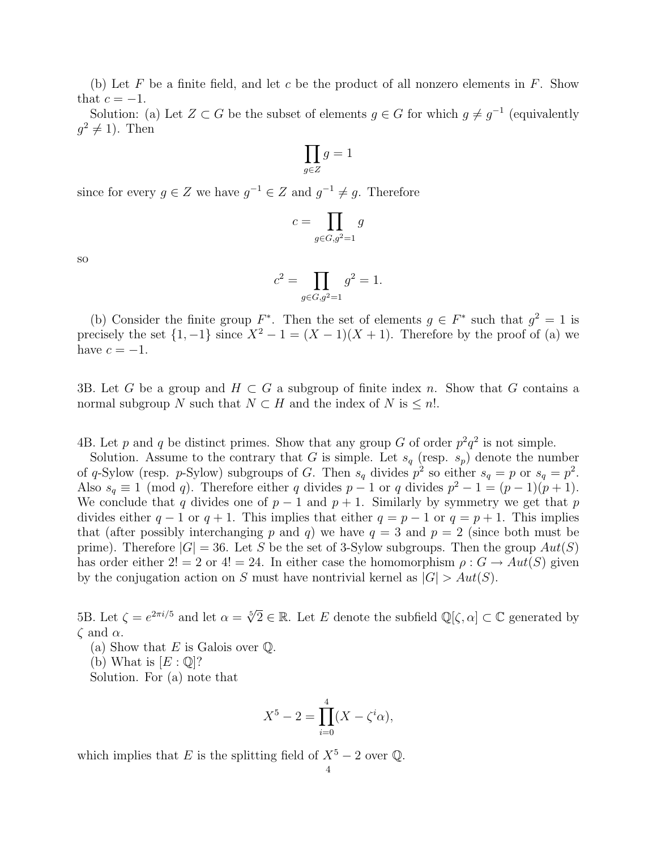(b) Let F be a finite field, and let c be the product of all nonzero elements in  $F$ . Show that  $c = -1$ .

Solution: (a) Let  $Z \subset G$  be the subset of elements  $g \in G$  for which  $g \neq g^{-1}$  (equivalently  $g^2 \neq 1$ ). Then

$$
\prod_{g \in Z} g = 1
$$

since for every  $g \in Z$  we have  $g^{-1} \in Z$  and  $g^{-1} \neq g$ . Therefore

$$
c = \prod_{g \in G, g^2 = 1} g
$$

so

$$
c^2 = \prod_{g \in G, g^2 = 1} g^2 = 1.
$$

(b) Consider the finite group  $F^*$ . Then the set of elements  $g \in F^*$  such that  $g^2 = 1$  is precisely the set  $\{1, -1\}$  since  $X^2 - 1 = (X - 1)(X + 1)$ . Therefore by the proof of (a) we have  $c = -1$ .

3B. Let G be a group and  $H \subset G$  a subgroup of finite index n. Show that G contains a normal subgroup N such that  $N \subset H$  and the index of N is  $\leq n!$ .

4B. Let p and q be distinct primes. Show that any group G of order  $p^2q^2$  is not simple.

Solution. Assume to the contrary that G is simple. Let  $s_q$  (resp.  $s_p$ ) denote the number of q-Sylow (resp. p-Sylow) subgroups of G. Then  $s_q$  divides  $p^2$  so either  $s_q = p$  or  $s_q = p^2$ . Also  $s_q \equiv 1 \pmod{q}$ . Therefore either q divides  $p-1$  or q divides  $p^2-1 = (p-1)(p+1)$ . We conclude that q divides one of  $p-1$  and  $p+1$ . Similarly by symmetry we get that p divides either  $q-1$  or  $q+1$ . This implies that either  $q = p-1$  or  $q = p+1$ . This implies that (after possibly interchanging p and q) we have  $q = 3$  and  $p = 2$  (since both must be prime). Therefore  $|G| = 36$ . Let S be the set of 3-Sylow subgroups. Then the group  $Aut(S)$ has order either 2! = 2 or 4! = 24. In either case the homomorphism  $\rho: G \to Aut(S)$  given by the conjugation action on S must have nontrivial kernel as  $|G| > Aut(S)$ .

5B. Let  $\zeta = e^{2\pi i/5}$  and let  $\alpha = \sqrt[5]{2} \in \mathbb{R}$ . Let E denote the subfield  $\mathbb{Q}[\zeta, \alpha] \subset \mathbb{C}$  generated by  $\zeta$  and  $\alpha$ .

(a) Show that  $E$  is Galois over  $\mathbb{Q}$ .

(b) What is  $[E:\mathbb{Q}]$ ?

Solution. For (a) note that

$$
X^{5} - 2 = \prod_{i=0}^{4} (X - \zeta^{i} \alpha),
$$

which implies that E is the splitting field of  $X^5 - 2$  over  $\mathbb{Q}$ .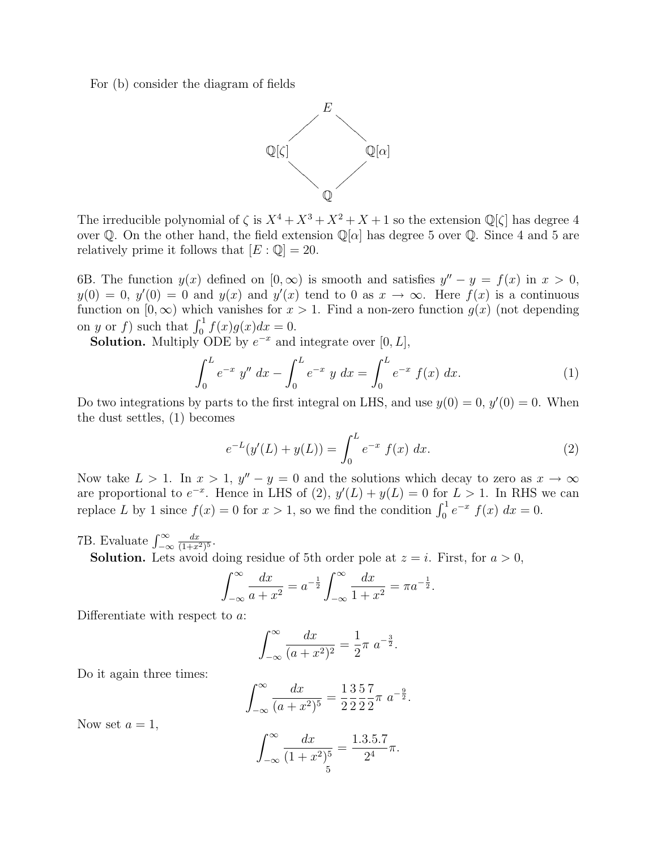For (b) consider the diagram of fields



The irreducible polynomial of  $\zeta$  is  $X^4 + X^3 + X^2 + X + 1$  so the extension  $\mathbb{Q}[\zeta]$  has degree 4 over Q. On the other hand, the field extension  $\mathbb{Q}[\alpha]$  has degree 5 over Q. Since 4 and 5 are relatively prime it follows that  $[E: \mathbb{Q}] = 20$ .

6B. The function  $y(x)$  defined on  $[0, \infty)$  is smooth and satisfies  $y'' - y = f(x)$  in  $x > 0$ ,  $y(0) = 0$ ,  $y'(0) = 0$  and  $y(x)$  and  $y'(x)$  tend to 0 as  $x \to \infty$ . Here  $f(x)$  is a continuous function on  $[0, \infty)$  which vanishes for  $x > 1$ . Find a non-zero function  $g(x)$  (not depending on y or f) such that  $\int_0^1 f(x)g(x)dx = 0$ .

**Solution.** Multiply ODE by  $e^{-x}$  and integrate over [0, L],

$$
\int_0^L e^{-x} y'' dx - \int_0^L e^{-x} y dx = \int_0^L e^{-x} f(x) dx.
$$
 (1)

Do two integrations by parts to the first integral on LHS, and use  $y(0) = 0$ ,  $y'(0) = 0$ . When the dust settles, (1) becomes

$$
e^{-L}(y'(L) + y(L)) = \int_0^L e^{-x} f(x) dx.
$$
 (2)

Now take  $L > 1$ . In  $x > 1$ ,  $y'' - y = 0$  and the solutions which decay to zero as  $x \to \infty$ are proportional to  $e^{-x}$ . Hence in LHS of (2),  $y'(L) + y(L) = 0$  for  $L > 1$ . In RHS we can replace L by 1 since  $f(x) = 0$  for  $x > 1$ , so we find the condition  $\int_0^1 e^{-x} f(x) dx = 0$ .

7B. Evaluate  $\int_{-\infty}^{\infty}$  $dx$  $\frac{dx}{(1+x^2)^5}.$ 

**Solution.** Lets avoid doing residue of 5th order pole at  $z = i$ . First, for  $a > 0$ ,

$$
\int_{-\infty}^{\infty} \frac{dx}{a+x^2} = a^{-\frac{1}{2}} \int_{-\infty}^{\infty} \frac{dx}{1+x^2} = \pi a^{-\frac{1}{2}}.
$$

Differentiate with respect to a:

$$
\int_{-\infty}^{\infty} \frac{dx}{(a+x^2)^2} = \frac{1}{2}\pi a^{-\frac{3}{2}}.
$$

Do it again three times:

$$
\int_{-\infty}^{\infty} \frac{dx}{(a+x^2)^5} = \frac{1}{2} \frac{3}{2} \frac{5}{2} \frac{7}{2} \pi \ a^{-\frac{9}{2}}.
$$

Now set  $a=1$ ,

$$
\int_{-\infty}^{\infty} \frac{dx}{(1+x^2)^5} = \frac{1.3.5.7}{2^4} \pi.
$$